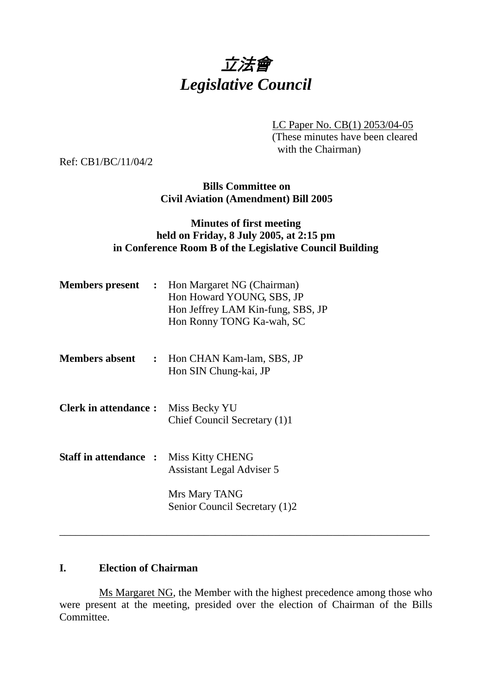

LC Paper No. CB(1) 2053/04-05 (These minutes have been cleared with the Chairman)

Ref: CB1/BC/11/04/2

**Bills Committee on Civil Aviation (Amendment) Bill 2005** 

# **Minutes of first meeting held on Friday, 8 July 2005, at 2:15 pm in Conference Room B of the Legislative Council Building**

| <b>Members present :</b>    | Hon Margaret NG (Chairman)<br>Hon Howard YOUNG, SBS, JP<br>Hon Jeffrey LAM Kin-fung, SBS, JP<br>Hon Ronny TONG Ka-wah, SC |
|-----------------------------|---------------------------------------------------------------------------------------------------------------------------|
| <b>Members absent</b>       | : Hon CHAN Kam-lam, SBS, JP<br>Hon SIN Chung-kai, JP                                                                      |
| <b>Clerk in attendance:</b> | Miss Becky YU<br>Chief Council Secretary (1)1                                                                             |
| <b>Staff in attendance:</b> | <b>Miss Kitty CHENG</b><br>Assistant Legal Adviser 5                                                                      |
|                             | Mrs Mary TANG<br>Senior Council Secretary (1)2                                                                            |

## **I. Election of Chairman**

 Ms Margaret NG, the Member with the highest precedence among those who were present at the meeting, presided over the election of Chairman of the Bills Committee.

\_\_\_\_\_\_\_\_\_\_\_\_\_\_\_\_\_\_\_\_\_\_\_\_\_\_\_\_\_\_\_\_\_\_\_\_\_\_\_\_\_\_\_\_\_\_\_\_\_\_\_\_\_\_\_\_\_\_\_\_\_\_\_\_\_\_\_\_\_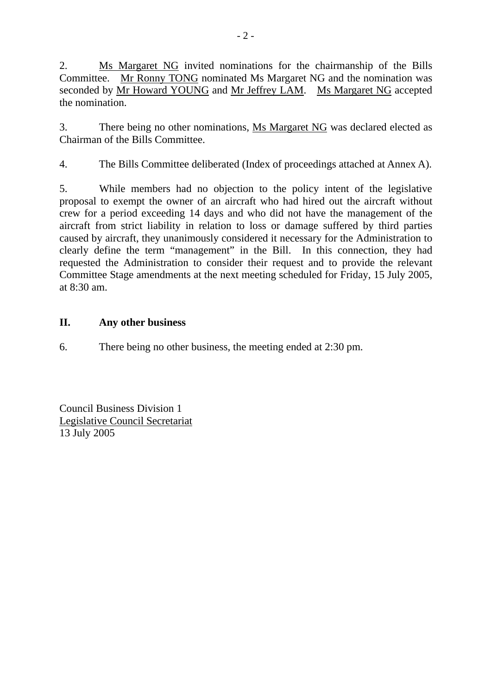2. Ms Margaret NG invited nominations for the chairmanship of the Bills Committee. Mr Ronny TONG nominated Ms Margaret NG and the nomination was seconded by Mr Howard YOUNG and Mr Jeffrey LAM. Ms Margaret NG accepted the nomination.

3. There being no other nominations, Ms Margaret NG was declared elected as Chairman of the Bills Committee.

4. The Bills Committee deliberated (Index of proceedings attached at Annex A).

5. While members had no objection to the policy intent of the legislative proposal to exempt the owner of an aircraft who had hired out the aircraft without crew for a period exceeding 14 days and who did not have the management of the aircraft from strict liability in relation to loss or damage suffered by third parties caused by aircraft, they unanimously considered it necessary for the Administration to clearly define the term "management" in the Bill. In this connection, they had requested the Administration to consider their request and to provide the relevant Committee Stage amendments at the next meeting scheduled for Friday, 15 July 2005, at 8:30 am.

# **II. Any other business**

6. There being no other business, the meeting ended at 2:30 pm.

Council Business Division 1 Legislative Council Secretariat 13 July 2005